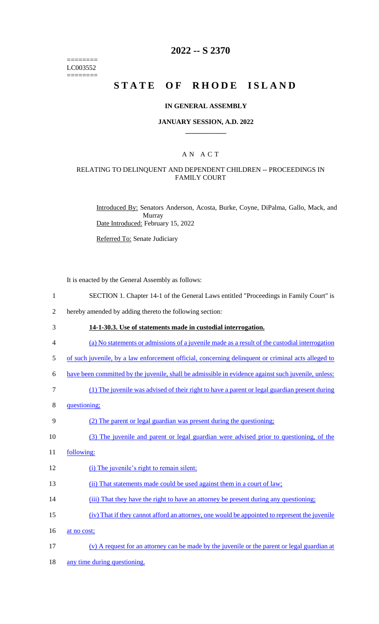======== LC003552 ========

### **2022 -- S 2370**

# STATE OF RHODE ISLAND

#### **IN GENERAL ASSEMBLY**

#### **JANUARY SESSION, A.D. 2022 \_\_\_\_\_\_\_\_\_\_\_\_**

#### A N A C T

#### RELATING TO DELINQUENT AND DEPENDENT CHILDREN -- PROCEEDINGS IN FAMILY COURT

Introduced By: Senators Anderson, Acosta, Burke, Coyne, DiPalma, Gallo, Mack, and Murray Date Introduced: February 15, 2022

Referred To: Senate Judiciary

It is enacted by the General Assembly as follows:

- 1 SECTION 1. Chapter 14-1 of the General Laws entitled "Proceedings in Family Court" is
- 2 hereby amended by adding thereto the following section:
- 3 **14-1-30.3. Use of statements made in custodial interrogation.**
- 4 (a) No statements or admissions of a juvenile made as a result of the custodial interrogation
- 5 of such juvenile, by a law enforcement official, concerning delinquent or criminal acts alleged to
- 6 have been committed by the juvenile, shall be admissible in evidence against such juvenile, unless:
- 7 (1) The juvenile was advised of their right to have a parent or legal guardian present during
- 8 questioning;

#### 9 (2) The parent or legal guardian was present during the questioning;

- 10 (3) The juvenile and parent or legal guardian were advised prior to questioning, of the
- 11 following:
- 12 (i) The juvenile's right to remain silent;
- 13 (ii) That statements made could be used against them in a court of law;
- 14 (iii) That they have the right to have an attorney be present during any questioning;
- 15 (iv) That if they cannot afford an attorney, one would be appointed to represent the juvenile
- 16 at no cost;
- 17 (v) A request for an attorney can be made by the juvenile or the parent or legal guardian at
- 18 any time during questioning.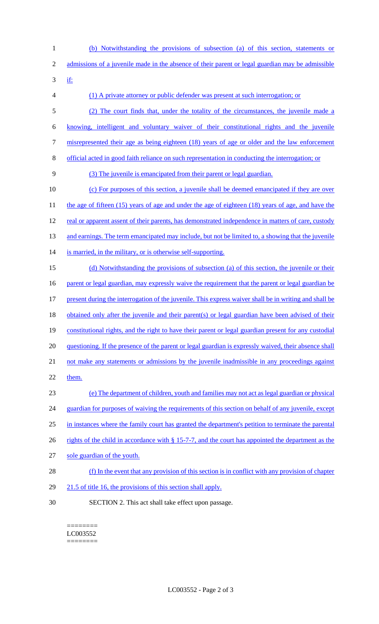1 (b) Notwithstanding the provisions of subsection (a) of this section, statements or 2 admissions of a juvenile made in the absence of their parent or legal guardian may be admissible 3 if: 4 (1) A private attorney or public defender was present at such interrogation; or 5 (2) The court finds that, under the totality of the circumstances, the juvenile made a 6 knowing, intelligent and voluntary waiver of their constitutional rights and the juvenile 7 misrepresented their age as being eighteen (18) years of age or older and the law enforcement 8 official acted in good faith reliance on such representation in conducting the interrogation; or 9 (3) The juvenile is emancipated from their parent or legal guardian. 10 (c) For purposes of this section, a juvenile shall be deemed emancipated if they are over 11 the age of fifteen (15) years of age and under the age of eighteen (18) years of age, and have the 12 real or apparent assent of their parents, has demonstrated independence in matters of care, custody 13 and earnings. The term emancipated may include, but not be limited to, a showing that the juvenile 14 is married, in the military, or is otherwise self-supporting. 15 (d) Notwithstanding the provisions of subsection (a) of this section, the juvenile or their 16 parent or legal guardian, may expressly waive the requirement that the parent or legal guardian be 17 present during the interrogation of the juvenile. This express waiver shall be in writing and shall be 18 obtained only after the juvenile and their parent(s) or legal guardian have been advised of their 19 constitutional rights, and the right to have their parent or legal guardian present for any custodial 20 questioning. If the presence of the parent or legal guardian is expressly waived, their absence shall 21 not make any statements or admissions by the juvenile inadmissible in any proceedings against 22 them. 23 (e) The department of children, youth and families may not act as legal guardian or physical 24 guardian for purposes of waiving the requirements of this section on behalf of any juvenile, except 25 in instances where the family court has granted the department's petition to terminate the parental 26 rights of the child in accordance with § 15-7-7, and the court has appointed the department as the 27 sole guardian of the youth. 28 (f) In the event that any provision of this section is in conflict with any provision of chapter 29 21.5 of title 16, the provisions of this section shall apply. 30 SECTION 2. This act shall take effect upon passage.

======== LC003552 ========